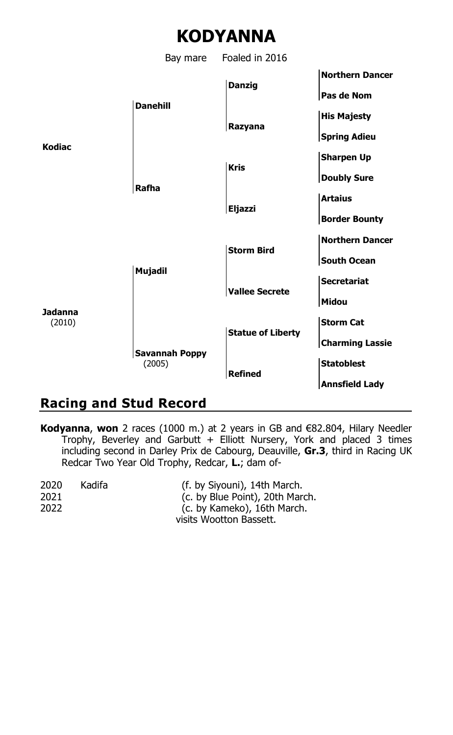



# **Racing and Stud Record**

**Kodyanna**, **won** 2 races (1000 m.) at 2 years in GB and €82.804, Hilary Needler Trophy, Beverley and Garbutt + Elliott Nursery, York and placed 3 times including second in Darley Prix de Cabourg, Deauville, **Gr.3**, third in Racing UK Redcar Two Year Old Trophy, Redcar, **L.**; dam of-

| 2020 | Kadifa | (f. by Siyouni), 14th March.    |
|------|--------|---------------------------------|
| 2021 |        | (c. by Blue Point), 20th March. |
| 2022 |        | (c. by Kameko), 16th March.     |
|      |        | visits Wootton Bassett.         |